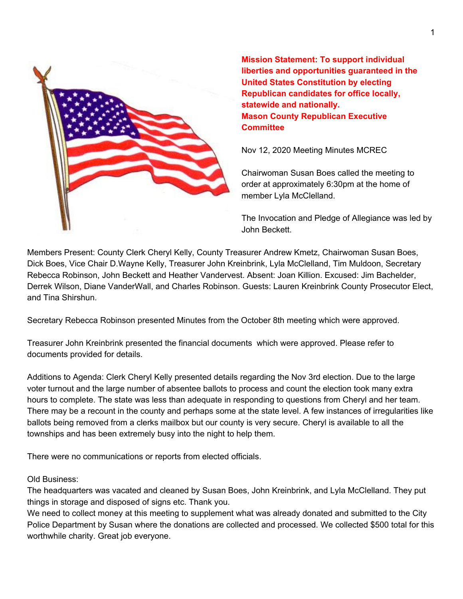

**Mission Statement: To support individual liberties and opportunities guaranteed in the United States Constitution by electing Republican candidates for office locally, statewide and nationally. Mason County Republican Executive Committee**

Nov 12, 2020 Meeting Minutes MCREC

Chairwoman Susan Boes called the meeting to order at approximately 6:30pm at the home of member Lyla McClelland.

The Invocation and Pledge of Allegiance was led by John Beckett.

Members Present: County Clerk Cheryl Kelly, County Treasurer Andrew Kmetz, Chairwoman Susan Boes, Dick Boes, Vice Chair D.Wayne Kelly, Treasurer John Kreinbrink, Lyla McClelland, Tim Muldoon, Secretary Rebecca Robinson, John Beckett and Heather Vandervest. Absent: Joan Killion. Excused: Jim Bachelder, Derrek Wilson, Diane VanderWall, and Charles Robinson. Guests: Lauren Kreinbrink County Prosecutor Elect, and Tina Shirshun.

Secretary Rebecca Robinson presented Minutes from the October 8th meeting which were approved.

Treasurer John Kreinbrink presented the financial documents which were approved. Please refer to documents provided for details.

Additions to Agenda: Clerk Cheryl Kelly presented details regarding the Nov 3rd election. Due to the large voter turnout and the large number of absentee ballots to process and count the election took many extra hours to complete. The state was less than adequate in responding to questions from Cheryl and her team. There may be a recount in the county and perhaps some at the state level. A few instances of irregularities like ballots being removed from a clerks mailbox but our county is very secure. Cheryl is available to all the townships and has been extremely busy into the night to help them.

There were no communications or reports from elected officials.

## Old Business:

The headquarters was vacated and cleaned by Susan Boes, John Kreinbrink, and Lyla McClelland. They put things in storage and disposed of signs etc. Thank you.

We need to collect money at this meeting to supplement what was already donated and submitted to the City Police Department by Susan where the donations are collected and processed. We collected \$500 total for this worthwhile charity. Great job everyone.